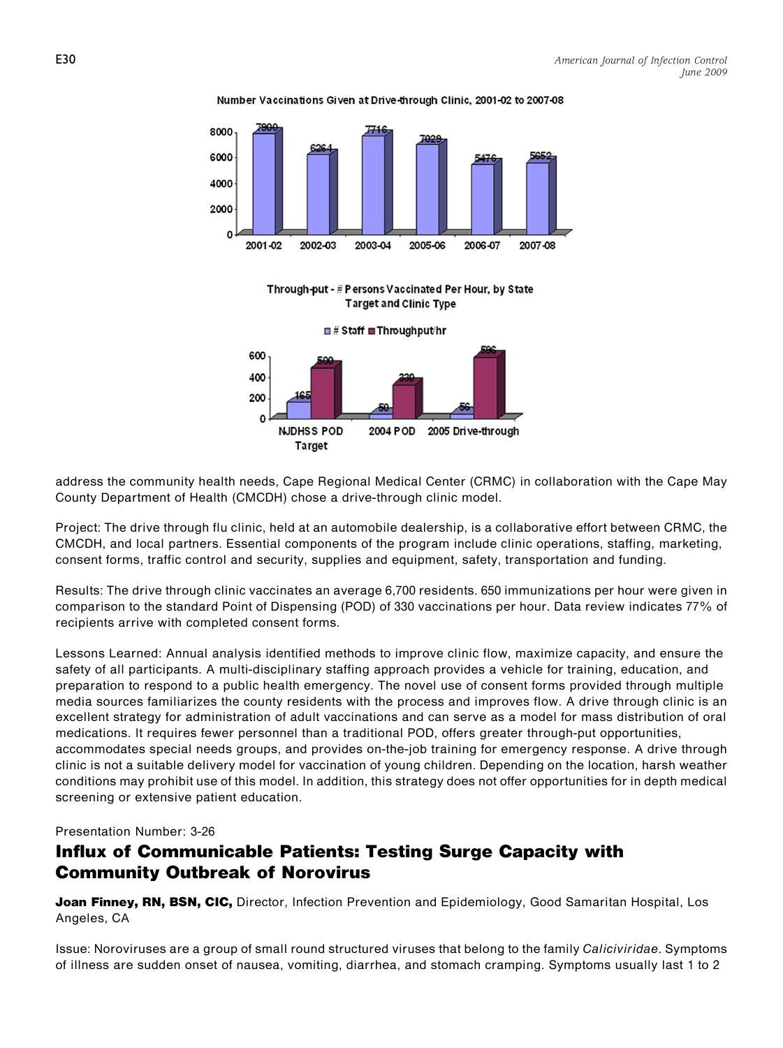



Through-put - # Persons Vaccinated Per Hour, by State **Target and Clinic Type** 

 $\blacksquare$  # Staff  $\blacksquare$  Throughput/hr



address the community health needs, Cape Regional Medical Center (CRMC) in collaboration with the Cape May County Department of Health (CMCDH) chose a drive-through clinic model.

Project: The drive through flu clinic, held at an automobile dealership, is a collaborative effort between CRMC, the CMCDH, and local partners. Essential components of the program include clinic operations, staffing, marketing, consent forms, traffic control and security, supplies and equipment, safety, transportation and funding.

Results: The drive through clinic vaccinates an average 6,700 residents. 650 immunizations per hour were given in comparison to the standard Point of Dispensing (POD) of 330 vaccinations per hour. Data review indicates 77% of recipients arrive with completed consent forms.

Lessons Learned: Annual analysis identified methods to improve clinic flow, maximize capacity, and ensure the safety of all participants. A multi-disciplinary staffing approach provides a vehicle for training, education, and preparation to respond to a public health emergency. The novel use of consent forms provided through multiple media sources familiarizes the county residents with the process and improves flow. A drive through clinic is an excellent strategy for administration of adult vaccinations and can serve as a model for mass distribution of oral medications. It requires fewer personnel than a traditional POD, offers greater through-put opportunities, accommodates special needs groups, and provides on-the-job training for emergency response. A drive through clinic is not a suitable delivery model for vaccination of young children. Depending on the location, harsh weather conditions may prohibit use of this model. In addition, this strategy does not offer opportunities for in depth medical screening or extensive patient education.

Presentation Number: 3-26

## Influx of Communicable Patients: Testing Surge Capacity with Community Outbreak of Norovirus

Joan Finney, RN, BSN, CIC, Director, Infection Prevention and Epidemiology, Good Samaritan Hospital, Los Angeles, CA

Issue: Noroviruses are a group of small round structured viruses that belong to the family Caliciviridae. Symptoms of illness are sudden onset of nausea, vomiting, diarrhea, and stomach cramping. Symptoms usually last 1 to 2